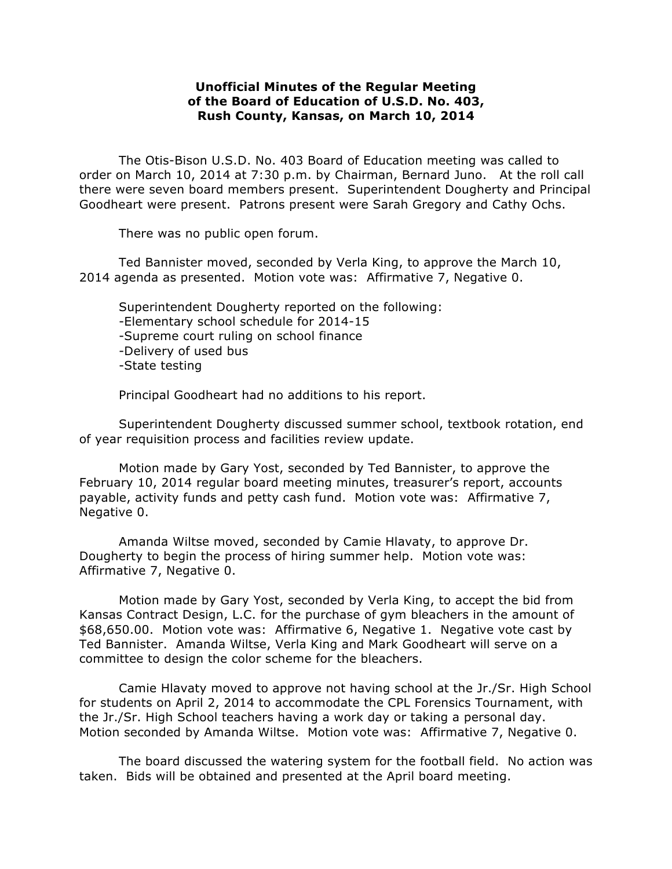## **Unofficial Minutes of the Regular Meeting of the Board of Education of U.S.D. No. 403, Rush County, Kansas, on March 10, 2014**

The Otis-Bison U.S.D. No. 403 Board of Education meeting was called to order on March 10, 2014 at 7:30 p.m. by Chairman, Bernard Juno. At the roll call there were seven board members present. Superintendent Dougherty and Principal Goodheart were present. Patrons present were Sarah Gregory and Cathy Ochs.

There was no public open forum.

Ted Bannister moved, seconded by Verla King, to approve the March 10, 2014 agenda as presented. Motion vote was: Affirmative 7, Negative 0.

Superintendent Dougherty reported on the following: -Elementary school schedule for 2014-15 -Supreme court ruling on school finance -Delivery of used bus -State testing

Principal Goodheart had no additions to his report.

Superintendent Dougherty discussed summer school, textbook rotation, end of year requisition process and facilities review update.

Motion made by Gary Yost, seconded by Ted Bannister, to approve the February 10, 2014 regular board meeting minutes, treasurer's report, accounts payable, activity funds and petty cash fund. Motion vote was: Affirmative 7, Negative 0.

Amanda Wiltse moved, seconded by Camie Hlavaty, to approve Dr. Dougherty to begin the process of hiring summer help. Motion vote was: Affirmative 7, Negative 0.

Motion made by Gary Yost, seconded by Verla King, to accept the bid from Kansas Contract Design, L.C. for the purchase of gym bleachers in the amount of \$68,650.00. Motion vote was: Affirmative 6, Negative 1. Negative vote cast by Ted Bannister. Amanda Wiltse, Verla King and Mark Goodheart will serve on a committee to design the color scheme for the bleachers.

Camie Hlavaty moved to approve not having school at the Jr./Sr. High School for students on April 2, 2014 to accommodate the CPL Forensics Tournament, with the Jr./Sr. High School teachers having a work day or taking a personal day. Motion seconded by Amanda Wiltse. Motion vote was: Affirmative 7, Negative 0.

The board discussed the watering system for the football field. No action was taken. Bids will be obtained and presented at the April board meeting.